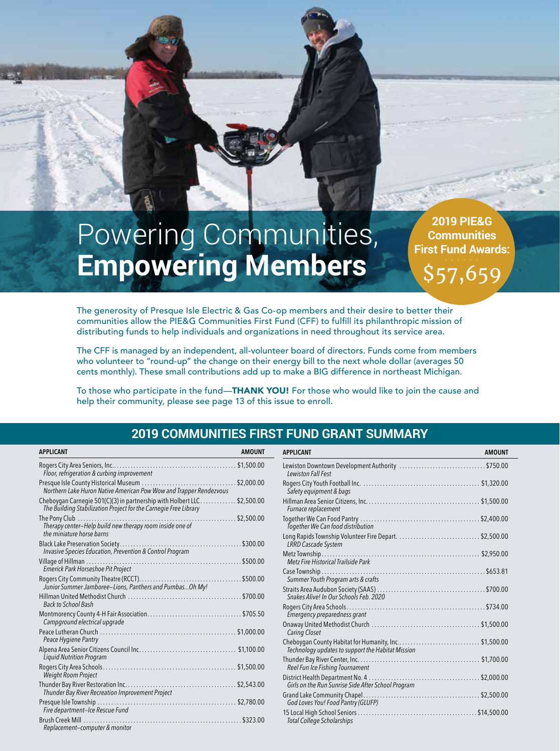# Powering Communities, **Empowering Members**

**2019 PIE&G Communities First Fund Awards:** 

\$57,659

The generosity of Presque Isle Electric & Gas Co-op members and their desire to better their communities allow the PIE&G Communities First Fund (CFF) to fulfill its philanthropic mission of distributing funds to help individuals and organizations in need throughout its service area.

The CFF is managed by an independent, all-volunteer board of directors. Funds come from members who volunteer to "round-up" the change on their energy bill to the next whole dollar (averages 50 cents monthly). These small contributions add up to make a BIG difference in northeast Michigan.

To those who participate in the fund—THANK YOU! For those who would like to join the cause and help their community, please see page 13 of this issue to enroll.

#### **2019 COMMUNITIES FIRST FUND GRANT SUMMARY**

| <b>APPLICANT</b>                                                                                                                 | <b>AMOUNT</b> |
|----------------------------------------------------------------------------------------------------------------------------------|---------------|
| Floor, refrigeration & curbing improvement                                                                                       |               |
| Presque Isle County Historical Museum<br>Northern Lake Huron Native American Pow Wow and Trapper Rendezvous                      | \$2,000.00    |
| Cheboygan Carnegie 501(C)(3) in partnership with Holbert LLC<br>The Building Stabilization Project for the Carnegie Free Library | \$2,500.00    |
| Therapy center-Help build new therapy room inside one of<br>the miniature horse harns                                            | \$2,500.00    |
| Black Lake Preservation Society<br>.<br>Invasive Species Education, Prevention & Control Program                                 | .\$300.00     |
| Village of Hillman<br>Emerick Park Horseshoe Pit Project                                                                         | \$500.00      |
| Junior Summer Jamboree-Lions, Panthers and Pumbas Oh My!                                                                         |               |
| Back to School Bash                                                                                                              | .5700.00      |
| Campground electrical upgrade                                                                                                    | \$705.50      |
| Peace Hygiene Pantry                                                                                                             |               |
| <b>Liquid Nutrition Program</b>                                                                                                  |               |
| Weight Room Project                                                                                                              | \$1,500.00    |
| Thunder Bay River Recreation Improvement Project                                                                                 |               |
| Fire department-Ice Rescue Fund                                                                                                  |               |
| Replacement-computer & monitor                                                                                                   | \$323.00      |

| <b>APPLICANT</b>                                                                                          | <b>AMOUNT</b> |
|-----------------------------------------------------------------------------------------------------------|---------------|
| Lewiston Downtown Development Authority \$750.00<br><b>Lewiston Fall Fest</b>                             |               |
| Safety equipment & bags                                                                                   |               |
| Furnace replacement                                                                                       |               |
| Together We Can food distribution                                                                         |               |
| Long Rapids Township Volunteer Fire Depart. \$2,500.00<br><b>LRRD Cascade System</b>                      |               |
| Metz Fire Historical Trailside Park                                                                       |               |
| Summer Youth Program arts & crafts                                                                        |               |
| Snakes Alive! In Our Schools Feb. 2020                                                                    |               |
| Emergency preparedness grant                                                                              |               |
| Caring Closet                                                                                             |               |
| Cheboygan County Habitat for Humanity, Inc\$1,500.00<br>Technology updates to support the Habitat Mission |               |
| Reel Fun Ice Fishing Tournament                                                                           |               |
| Girls on the Run Sunrise Side After School Program                                                        |               |
| God Loves You! Food Pantry (GLUFP)                                                                        |               |
| <b>Total College Scholarships</b>                                                                         |               |